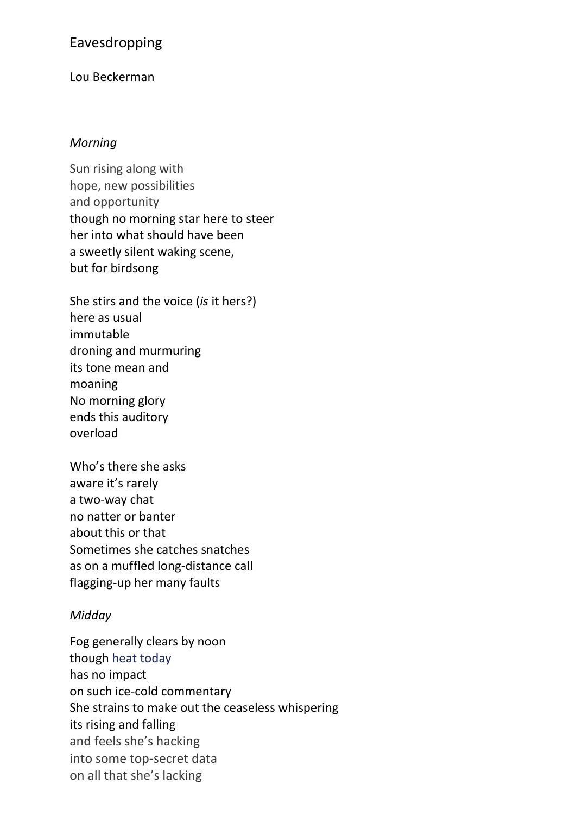# Eavesdropping

## Lou Beckerman

#### *Morning*

Sun rising along with hope, new possibilities and opportunity though no morning star here to steer her into what should have been a sweetly silent waking scene, but for birdsong

She stirs and the voice (*is* it hers?) here as usual immutable droning and murmuring its tone mean and moaning No morning glory ends this auditory overload

Who's there she asks aware it's rarely a two-way chat no natter or banter about this or that Sometimes she catches snatches as on a muffled long-distance call flagging-up her many faults

# *Midday*

Fog generally clears by noon though heat today has no impact on such ice-cold commentary She strains to make out the ceaseless whispering its rising and falling and feels she's hacking into some top-secret data on all that she's lacking